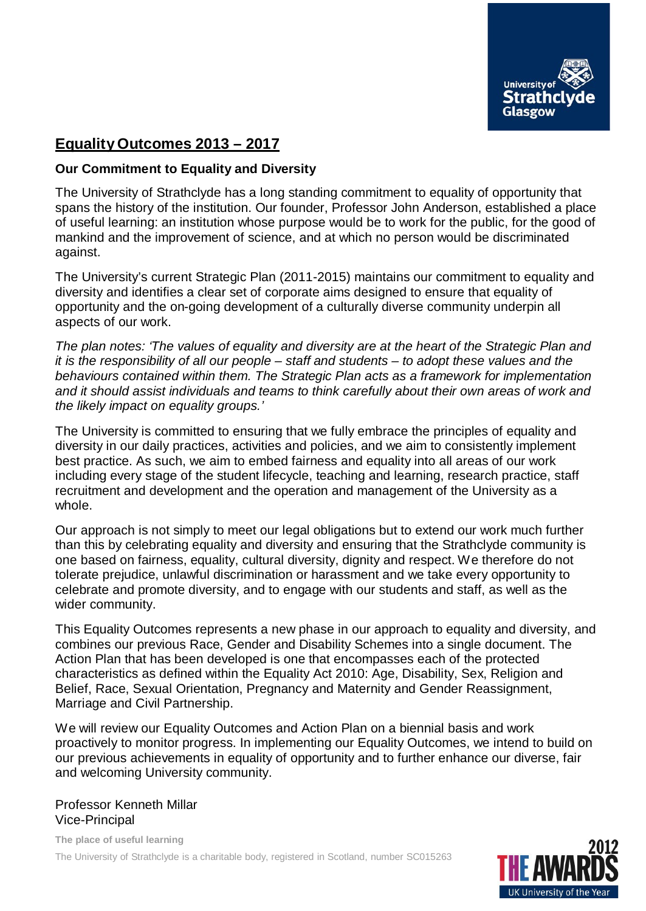

### **EqualityOutcomes 2013 – 2017**

#### **Our Commitment to Equality and Diversity**

The University of Strathclyde has a long standing commitment to equality of opportunity that spans the history of the institution. Our founder, Professor John Anderson, established a place of useful learning: an institution whose purpose would be to work for the public, for the good of mankind and the improvement of science, and at which no person would be discriminated against.

The University's current Strategic Plan (2011-2015) maintains our commitment to equality and diversity and identifies a clear set of corporate aims designed to ensure that equality of opportunity and the on-going development of a culturally diverse community underpin all aspects of our work.

*The plan notes: 'The values of equality and diversity are at the heart of the Strategic Plan and it is the responsibility of all our people – staff and students – to adopt these values and the behaviours contained within them. The Strategic Plan acts as a framework for implementation and it should assist individuals and teams to think carefully about their own areas of work and the likely impact on equality groups.'*

The University is committed to ensuring that we fully embrace the principles of equality and diversity in our daily practices, activities and policies, and we aim to consistently implement best practice. As such, we aim to embed fairness and equality into all areas of our work including every stage of the student lifecycle, teaching and learning, research practice, staff recruitment and development and the operation and management of the University as a whole.

Our approach is not simply to meet our legal obligations but to extend our work much further than this by celebrating equality and diversity and ensuring that the Strathclyde community is one based on fairness, equality, cultural diversity, dignity and respect. We therefore do not tolerate prejudice, unlawful discrimination or harassment and we take every opportunity to celebrate and promote diversity, and to engage with our students and staff, as well as the wider community.

This Equality Outcomes represents a new phase in our approach to equality and diversity, and combines our previous Race, Gender and Disability Schemes into a single document. The Action Plan that has been developed is one that encompasses each of the protected characteristics as defined within the Equality Act 2010: Age, Disability, Sex, Religion and Belief, Race, Sexual Orientation, Pregnancy and Maternity and Gender Reassignment, Marriage and Civil Partnership.

We will review our Equality Outcomes and Action Plan on a biennial basis and work proactively to monitor progress. In implementing our Equality Outcomes, we intend to build on our previous achievements in equality of opportunity and to further enhance our diverse, fair and welcoming University community.

Professor Kenneth Millar Vice-Principal

**The place of useful learning** The University of Strathclyde is a charitable body, registered in Scotland, number SC015263

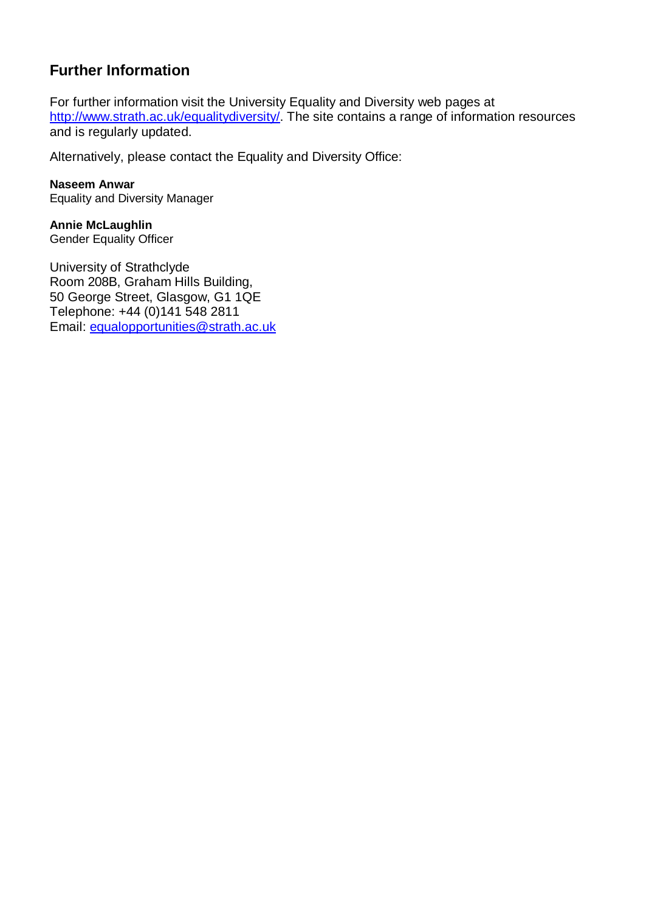## **Further Information**

For further information visit the University Equality and Diversity web pages at [http://www.strath.ac.uk/equalitydiversity/.](http://www.strath.ac.uk/equalitydiversity/) The site contains a range of information resources and is regularly updated.

Alternatively, please contact the Equality and Diversity Office:

**Naseem Anwar** Equality and Diversity Manager

**Annie McLaughlin**  Gender Equality Officer

University of Strathclyde Room 208B, Graham Hills Building, 50 George Street, Glasgow, G1 1QE Telephone: +44 (0)141 548 2811 Email: [equalopportunities@strath.ac.uk](mailto:equalopportunities@strath.ac.uk)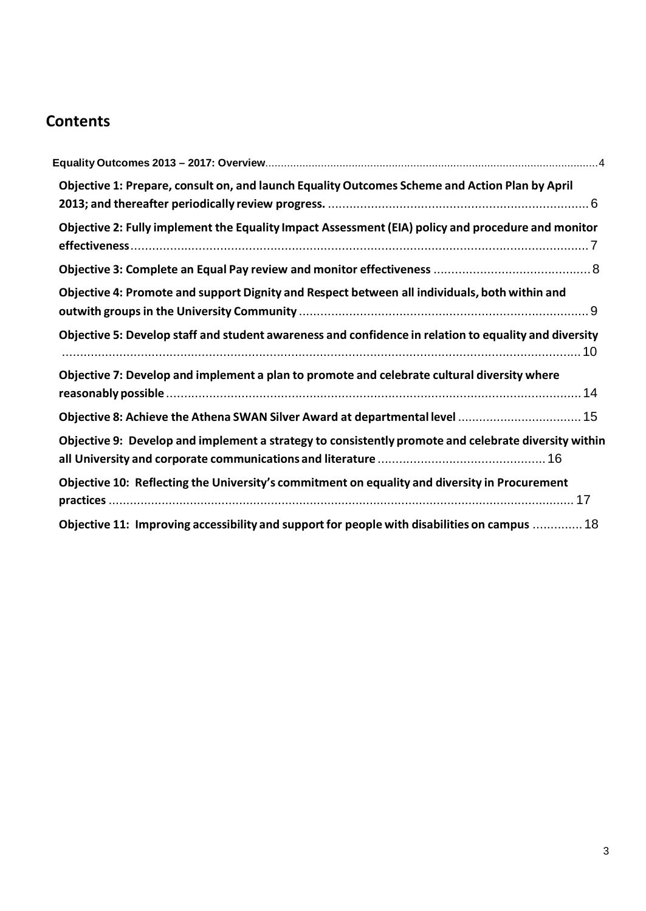# **Contents**

| Objective 1: Prepare, consult on, and launch Equality Outcomes Scheme and Action Plan by April        |
|-------------------------------------------------------------------------------------------------------|
| Objective 2: Fully implement the Equality Impact Assessment (EIA) policy and procedure and monitor    |
|                                                                                                       |
| Objective 4: Promote and support Dignity and Respect between all individuals, both within and         |
| Objective 5: Develop staff and student awareness and confidence in relation to equality and diversity |
| Objective 7: Develop and implement a plan to promote and celebrate cultural diversity where           |
|                                                                                                       |
| Objective 9: Develop and implement a strategy to consistently promote and celebrate diversity within  |
| Objective 10: Reflecting the University's commitment on equality and diversity in Procurement         |
| Objective 11: Improving accessibility and support for people with disabilities on campus  18          |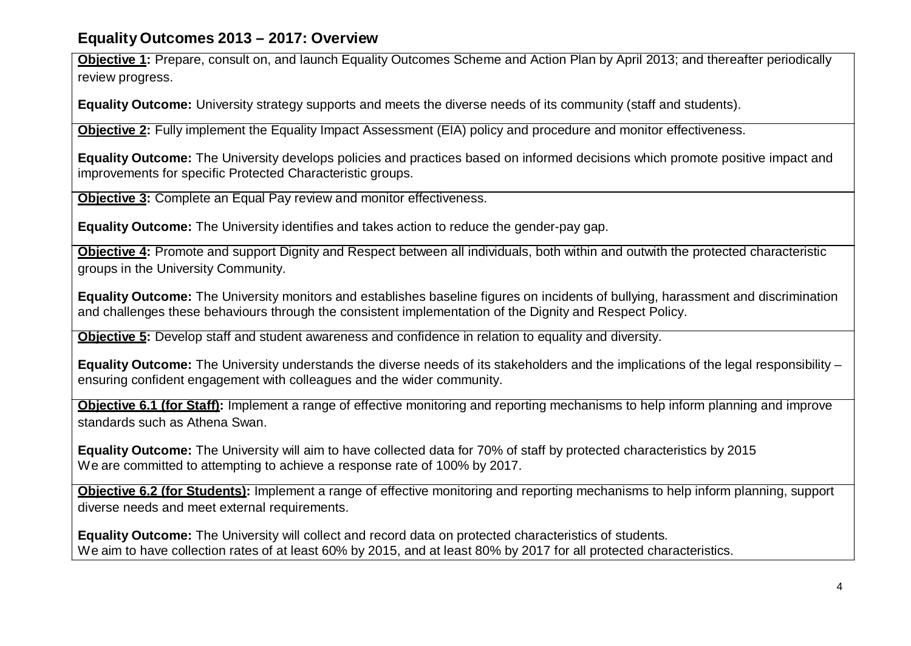#### **Equality Outcomes 2013 – 2017: Overview**

**Objective 1:** Prepare, consult on, and launch Equality Outcomes Scheme and Action Plan by April 2013; and thereafter periodically review progress.

**Equality Outcome:** University strategy supports and meets the diverse needs of its community (staff and students).

**Objective 2:** Fully implement the Equality Impact Assessment (EIA) policy and procedure and monitor effectiveness.

**Equality Outcome:** The University develops policies and practices based on informed decisions which promote positive impact and improvements for specific Protected Characteristic groups.

**Objective 3:** Complete an Equal Pay review and monitor effectiveness.

**Equality Outcome:** The University identifies and takes action to reduce the gender-pay gap.

**Objective 4:** Promote and support Dignity and Respect between all individuals, both within and outwith the protected characteristic groups in the University Community.

**Equality Outcome:** The University monitors and establishes baseline figures on incidents of bullying, harassment and discrimination and challenges these behaviours through the consistent implementation of the Dignity and Respect Policy.

**Objective 5:** Develop staff and student awareness and confidence in relation to equality and diversity.

**Equality Outcome:** The University understands the diverse needs of its stakeholders and the implications of the legal responsibility – ensuring confident engagement with colleagues and the wider community.

**Objective 6.1 (for Staff):** Implement a range of effective monitoring and reporting mechanisms to help inform planning and improve standards such as Athena Swan.

**Equality Outcome:** The University will aim to have collected data for 70% of staff by protected characteristics by 2015 We are committed to attempting to achieve a response rate of 100% by 2017.

**Objective 6.2 (for Students):** Implement a range of effective monitoring and reporting mechanisms to help inform planning, support diverse needs and meet external requirements.

**Equality Outcome:** The University will collect and record data on protected characteristics of students. We aim to have collection rates of at least 60% by 2015, and at least 80% by 2017 for all protected characteristics.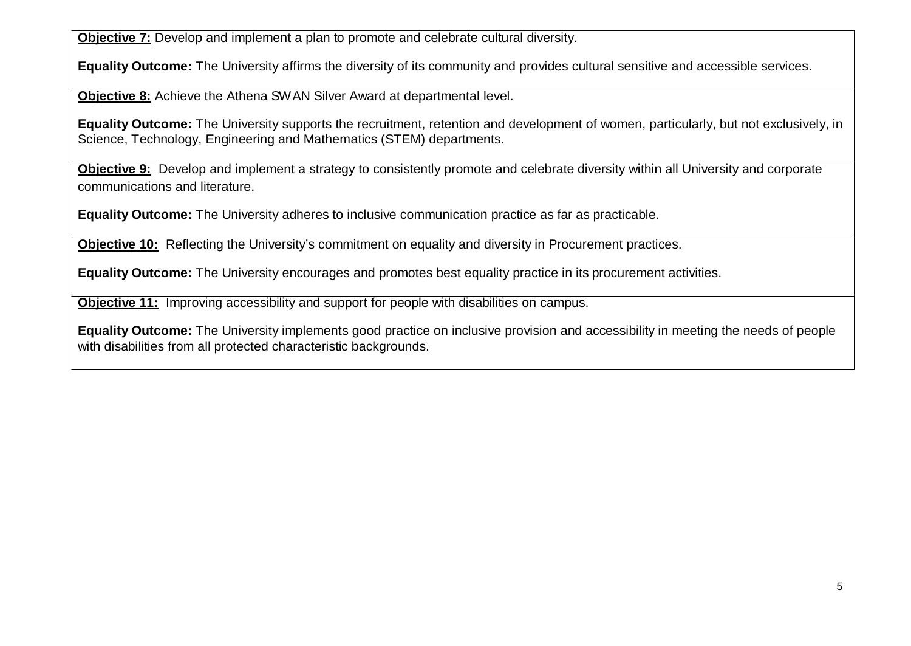**Objective 7:** Develop and implement a plan to promote and celebrate cultural diversity.

**Equality Outcome:** The University affirms the diversity of its community and provides cultural sensitive and accessible services.

**Objective 8:** Achieve the Athena SWAN Silver Award at departmental level.

**Equality Outcome:** The University supports the recruitment, retention and development of women, particularly, but not exclusively, in Science, Technology, Engineering and Mathematics (STEM) departments.

**Objective 9:** Develop and implement a strategy to consistently promote and celebrate diversity within all University and corporate communications and literature.

**Equality Outcome:** The University adheres to inclusive communication practice as far as practicable.

**Objective 10:** Reflecting the University's commitment on equality and diversity in Procurement practices.

**Equality Outcome:** The University encourages and promotes best equality practice in its procurement activities.

**Objective 11:** Improving accessibility and support for people with disabilities on campus.

**Equality Outcome:** The University implements good practice on inclusive provision and accessibility in meeting the needs of people with disabilities from all protected characteristic backgrounds.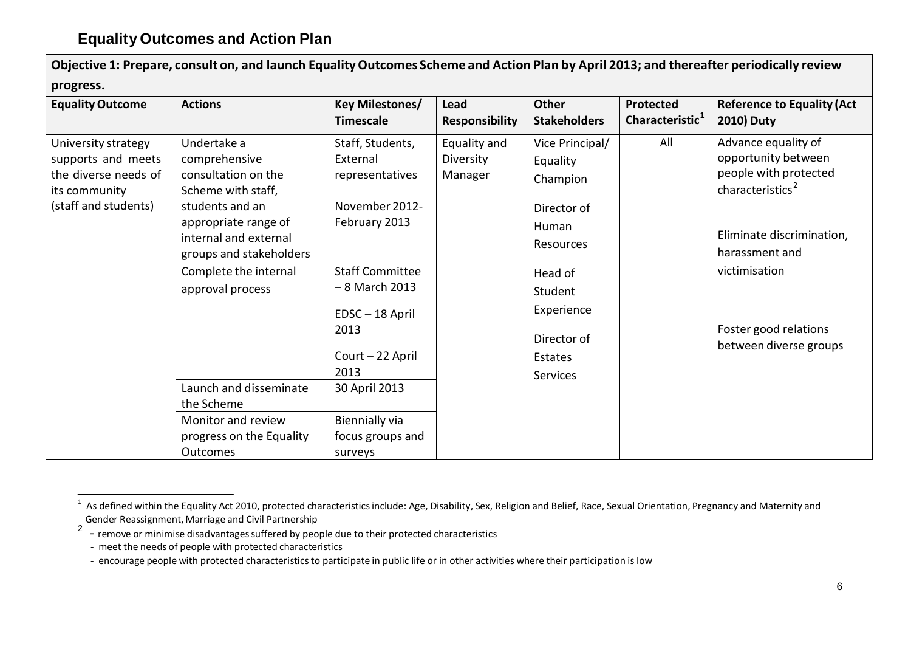| progress.                                                                                                  |                                                                                                                                                                                                                       |                                                                                                                                                                                     |                                      |                                                                                                                                            |                                          |                                                                                                                                                                                                                        |
|------------------------------------------------------------------------------------------------------------|-----------------------------------------------------------------------------------------------------------------------------------------------------------------------------------------------------------------------|-------------------------------------------------------------------------------------------------------------------------------------------------------------------------------------|--------------------------------------|--------------------------------------------------------------------------------------------------------------------------------------------|------------------------------------------|------------------------------------------------------------------------------------------------------------------------------------------------------------------------------------------------------------------------|
| <b>Equality Outcome</b>                                                                                    | <b>Actions</b>                                                                                                                                                                                                        | Key Milestones/<br><b>Timescale</b>                                                                                                                                                 | Lead<br><b>Responsibility</b>        | <b>Other</b><br><b>Stakeholders</b>                                                                                                        | Protected<br>Characteristic <sup>1</sup> | <b>Reference to Equality (Act</b><br><b>2010) Duty</b>                                                                                                                                                                 |
| University strategy<br>supports and meets<br>the diverse needs of<br>its community<br>(staff and students) | Undertake a<br>comprehensive<br>consultation on the<br>Scheme with staff,<br>students and an<br>appropriate range of<br>internal and external<br>groups and stakeholders<br>Complete the internal<br>approval process | Staff, Students,<br>External<br>representatives<br>November 2012-<br>February 2013<br><b>Staff Committee</b><br>- 8 March 2013<br>EDSC-18 April<br>2013<br>Court - 22 April<br>2013 | Equality and<br>Diversity<br>Manager | Vice Principal/<br>Equality<br>Champion<br>Director of<br>Human<br>Resources<br>Head of<br>Student<br>Experience<br>Director of<br>Estates | All                                      | Advance equality of<br>opportunity between<br>people with protected<br>characteristics <sup>2</sup><br>Eliminate discrimination,<br>harassment and<br>victimisation<br>Foster good relations<br>between diverse groups |
|                                                                                                            | Launch and disseminate<br>the Scheme<br>Monitor and review<br>progress on the Equality                                                                                                                                | 30 April 2013<br>Biennially via<br>focus groups and                                                                                                                                 |                                      | <b>Services</b>                                                                                                                            |                                          |                                                                                                                                                                                                                        |
|                                                                                                            | <b>Outcomes</b>                                                                                                                                                                                                       | surveys                                                                                                                                                                             |                                      |                                                                                                                                            |                                          |                                                                                                                                                                                                                        |

Objective 1: Prepare, consult on, and launch Equality Outcomes Scheme and Action Plan by April 2013; and thereafter periodically review

 $1$  As defined within the Equality Act 2010, protected characteristics include: Age, Disability, Sex, Religion and Belief, Race, Sexual Orientation, Pregnancy and Maternity and Gender Reassignment, Marriage and Civil Partnership

<sup>&</sup>lt;sup>2</sup> - remove or minimise disadvantages suffered by people due to their protected characteristics

<sup>-</sup> meet the needs of people with protected characteristics

<sup>-</sup> encourage people with protected characteristics to participate in public life or in other activities where their participation is low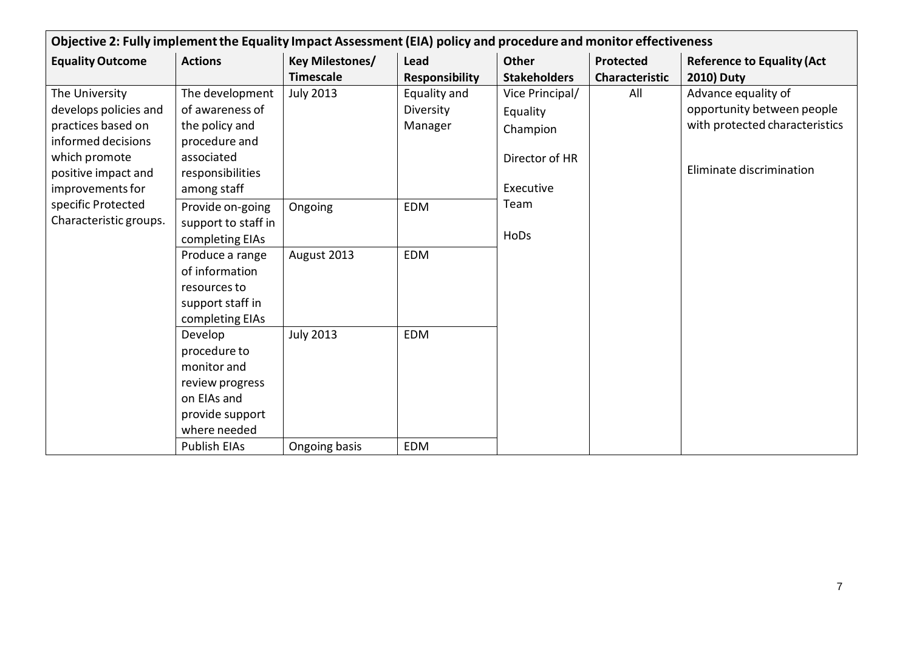|                         | Objective 2: Fully implement the Equality Impact Assessment (EIA) policy and procedure and monitor effectiveness |                        |                       |                     |                |                                   |  |  |
|-------------------------|------------------------------------------------------------------------------------------------------------------|------------------------|-----------------------|---------------------|----------------|-----------------------------------|--|--|
| <b>Equality Outcome</b> | <b>Actions</b>                                                                                                   | <b>Key Milestones/</b> | <b>Lead</b>           | Other               | Protected      | <b>Reference to Equality (Act</b> |  |  |
|                         |                                                                                                                  | <b>Timescale</b>       | <b>Responsibility</b> | <b>Stakeholders</b> | Characteristic | <b>2010) Duty</b>                 |  |  |
| The University          | The development                                                                                                  | <b>July 2013</b>       | Equality and          | Vice Principal/     | All            | Advance equality of               |  |  |
| develops policies and   | of awareness of                                                                                                  |                        | Diversity             | Equality            |                | opportunity between people        |  |  |
| practices based on      | the policy and                                                                                                   |                        | Manager               | Champion            |                | with protected characteristics    |  |  |
| informed decisions      | procedure and                                                                                                    |                        |                       |                     |                |                                   |  |  |
| which promote           | associated                                                                                                       |                        |                       | Director of HR      |                | Eliminate discrimination          |  |  |
| positive impact and     | responsibilities                                                                                                 |                        |                       |                     |                |                                   |  |  |
| improvements for        | among staff                                                                                                      |                        |                       | Executive           |                |                                   |  |  |
| specific Protected      | Provide on-going                                                                                                 | Ongoing                | <b>EDM</b>            | Team                |                |                                   |  |  |
| Characteristic groups.  | support to staff in                                                                                              |                        |                       | HoDs                |                |                                   |  |  |
|                         | completing EIAs                                                                                                  |                        |                       |                     |                |                                   |  |  |
|                         | Produce a range                                                                                                  | August 2013            | <b>EDM</b>            |                     |                |                                   |  |  |
|                         | of information                                                                                                   |                        |                       |                     |                |                                   |  |  |
|                         | resources to                                                                                                     |                        |                       |                     |                |                                   |  |  |
|                         | support staff in<br>completing EIAs                                                                              |                        |                       |                     |                |                                   |  |  |
|                         | Develop                                                                                                          | <b>July 2013</b>       | <b>EDM</b>            |                     |                |                                   |  |  |
|                         | procedure to                                                                                                     |                        |                       |                     |                |                                   |  |  |
|                         | monitor and                                                                                                      |                        |                       |                     |                |                                   |  |  |
|                         | review progress                                                                                                  |                        |                       |                     |                |                                   |  |  |
|                         | on EIAs and                                                                                                      |                        |                       |                     |                |                                   |  |  |
|                         | provide support                                                                                                  |                        |                       |                     |                |                                   |  |  |
|                         | where needed                                                                                                     |                        |                       |                     |                |                                   |  |  |
|                         | <b>Publish EIAs</b>                                                                                              | Ongoing basis          | <b>EDM</b>            |                     |                |                                   |  |  |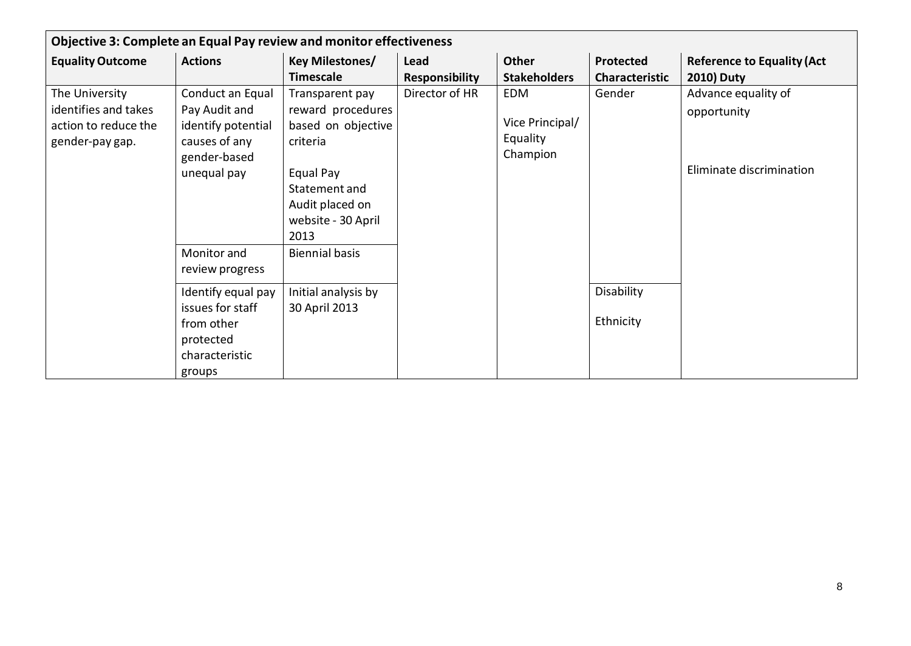| Objective 3: Complete an Equal Pay review and monitor effectiveness               |                                                                                                                                 |                                                                                                                                                       |                       |                                                       |                         |                                                                |  |  |  |
|-----------------------------------------------------------------------------------|---------------------------------------------------------------------------------------------------------------------------------|-------------------------------------------------------------------------------------------------------------------------------------------------------|-----------------------|-------------------------------------------------------|-------------------------|----------------------------------------------------------------|--|--|--|
| <b>Equality Outcome</b>                                                           | <b>Actions</b>                                                                                                                  | <b>Key Milestones/</b>                                                                                                                                | Lead                  | <b>Other</b>                                          | <b>Protected</b>        | <b>Reference to Equality (Act</b>                              |  |  |  |
|                                                                                   |                                                                                                                                 | <b>Timescale</b>                                                                                                                                      | <b>Responsibility</b> | <b>Stakeholders</b>                                   | <b>Characteristic</b>   | <b>2010) Duty</b>                                              |  |  |  |
| The University<br>identifies and takes<br>action to reduce the<br>gender-pay gap. | Conduct an Equal<br>Pay Audit and<br>identify potential<br>causes of any<br>gender-based<br>unequal pay                         | Transparent pay<br>reward procedures<br>based on objective<br>criteria<br>Equal Pay<br>Statement and<br>Audit placed on<br>website - 30 April<br>2013 | Director of HR        | <b>EDM</b><br>Vice Principal/<br>Equality<br>Champion | Gender                  | Advance equality of<br>opportunity<br>Eliminate discrimination |  |  |  |
|                                                                                   | Monitor and<br>review progress<br>Identify equal pay<br>issues for staff<br>from other<br>protected<br>characteristic<br>groups | <b>Biennial basis</b><br>Initial analysis by<br>30 April 2013                                                                                         |                       |                                                       | Disability<br>Ethnicity |                                                                |  |  |  |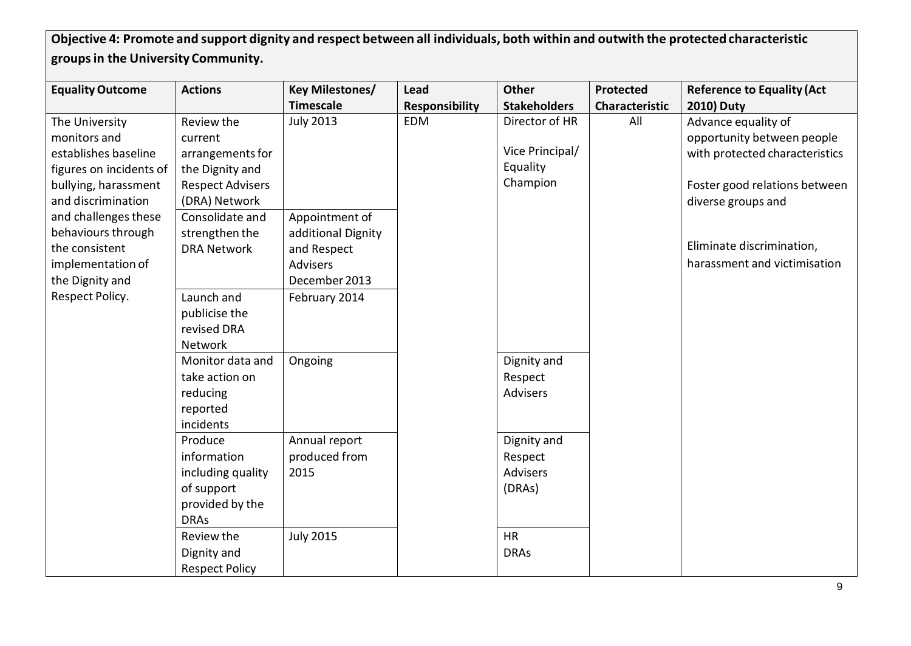Objective 4: Promote and support dignity and respect between all individuals, both within and outwith the protected characteristic **groupsin the University Community.**

| <b>Equality Outcome</b> | <b>Actions</b>          | <b>Key Milestones/</b> | Lead                  | <b>Other</b>        | <b>Protected</b>      | <b>Reference to Equality (Act</b> |
|-------------------------|-------------------------|------------------------|-----------------------|---------------------|-----------------------|-----------------------------------|
|                         |                         | <b>Timescale</b>       | <b>Responsibility</b> | <b>Stakeholders</b> | <b>Characteristic</b> | <b>2010) Duty</b>                 |
| The University          | Review the              | <b>July 2013</b>       | <b>EDM</b>            | Director of HR      | All                   | Advance equality of               |
| monitors and            | current                 |                        |                       |                     |                       | opportunity between people        |
| establishes baseline    | arrangements for        |                        |                       | Vice Principal/     |                       | with protected characteristics    |
| figures on incidents of | the Dignity and         |                        |                       | Equality            |                       |                                   |
| bullying, harassment    | <b>Respect Advisers</b> |                        |                       | Champion            |                       | Foster good relations between     |
| and discrimination      | (DRA) Network           |                        |                       |                     |                       | diverse groups and                |
| and challenges these    | Consolidate and         | Appointment of         |                       |                     |                       |                                   |
| behaviours through      | strengthen the          | additional Dignity     |                       |                     |                       |                                   |
| the consistent          | <b>DRA Network</b>      | and Respect            |                       |                     |                       | Eliminate discrimination,         |
| implementation of       |                         | <b>Advisers</b>        |                       |                     |                       | harassment and victimisation      |
| the Dignity and         |                         | December 2013          |                       |                     |                       |                                   |
| Respect Policy.         | Launch and              | February 2014          |                       |                     |                       |                                   |
|                         | publicise the           |                        |                       |                     |                       |                                   |
|                         | revised DRA             |                        |                       |                     |                       |                                   |
|                         | Network                 |                        |                       |                     |                       |                                   |
|                         | Monitor data and        | Ongoing                |                       | Dignity and         |                       |                                   |
|                         | take action on          |                        |                       | Respect             |                       |                                   |
|                         | reducing                |                        |                       | <b>Advisers</b>     |                       |                                   |
|                         | reported                |                        |                       |                     |                       |                                   |
|                         | incidents               |                        |                       |                     |                       |                                   |
|                         | Produce                 | Annual report          |                       | Dignity and         |                       |                                   |
|                         | information             | produced from          |                       | Respect             |                       |                                   |
|                         | including quality       | 2015                   |                       | <b>Advisers</b>     |                       |                                   |
|                         | of support              |                        |                       | (DRAs)              |                       |                                   |
|                         | provided by the         |                        |                       |                     |                       |                                   |
|                         | <b>DRAs</b>             |                        |                       |                     |                       |                                   |
|                         | Review the              | <b>July 2015</b>       |                       | <b>HR</b>           |                       |                                   |
|                         | Dignity and             |                        |                       | <b>DRAs</b>         |                       |                                   |
|                         | <b>Respect Policy</b>   |                        |                       |                     |                       |                                   |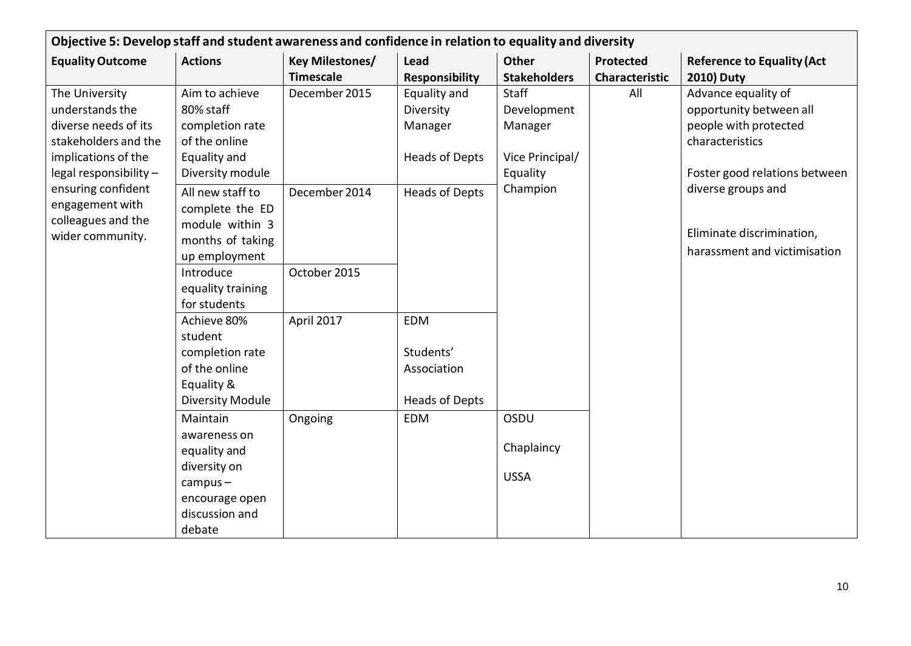|                                                                                                                                                                                                                       | Objective 5: Develop staff and student awareness and confidence in relation to equality and diversity                |                                     |                                                                 |                                                                       |                                    |                                                                                                                             |  |  |
|-----------------------------------------------------------------------------------------------------------------------------------------------------------------------------------------------------------------------|----------------------------------------------------------------------------------------------------------------------|-------------------------------------|-----------------------------------------------------------------|-----------------------------------------------------------------------|------------------------------------|-----------------------------------------------------------------------------------------------------------------------------|--|--|
| <b>Equality Outcome</b>                                                                                                                                                                                               | <b>Actions</b>                                                                                                       | Key Milestones/<br><b>Timescale</b> | Lead<br><b>Responsibility</b>                                   | <b>Other</b><br><b>Stakeholders</b>                                   | Protected<br><b>Characteristic</b> | <b>Reference to Equality (Act</b><br><b>2010) Duty</b>                                                                      |  |  |
| The University<br>understands the<br>diverse needs of its<br>stakeholders and the<br>implications of the<br>legal responsibility -<br>ensuring confident<br>engagement with<br>colleagues and the<br>wider community. | Aim to achieve<br>80% staff<br>completion rate<br>of the online<br>Equality and<br>Diversity module                  | December 2015                       | Equality and<br>Diversity<br>Manager<br><b>Heads of Depts</b>   | <b>Staff</b><br>Development<br>Manager<br>Vice Principal/<br>Equality | All                                | Advance equality of<br>opportunity between all<br>people with protected<br>characteristics<br>Foster good relations between |  |  |
|                                                                                                                                                                                                                       | All new staff to<br>complete the ED<br>module within 3<br>months of taking<br>up employment                          | December 2014                       | <b>Heads of Depts</b>                                           | Champion                                                              |                                    | diverse groups and<br>Eliminate discrimination,<br>harassment and victimisation                                             |  |  |
|                                                                                                                                                                                                                       | Introduce<br>equality training<br>for students                                                                       | October 2015                        |                                                                 |                                                                       |                                    |                                                                                                                             |  |  |
|                                                                                                                                                                                                                       | Achieve 80%<br>student<br>completion rate<br>of the online<br>Equality &<br><b>Diversity Module</b>                  | April 2017                          | <b>EDM</b><br>Students'<br>Association<br><b>Heads of Depts</b> |                                                                       |                                    |                                                                                                                             |  |  |
|                                                                                                                                                                                                                       | Maintain<br>awareness on<br>equality and<br>diversity on<br>$campus -$<br>encourage open<br>discussion and<br>debate | Ongoing                             | <b>EDM</b>                                                      | OSDU<br>Chaplaincy<br><b>USSA</b>                                     |                                    |                                                                                                                             |  |  |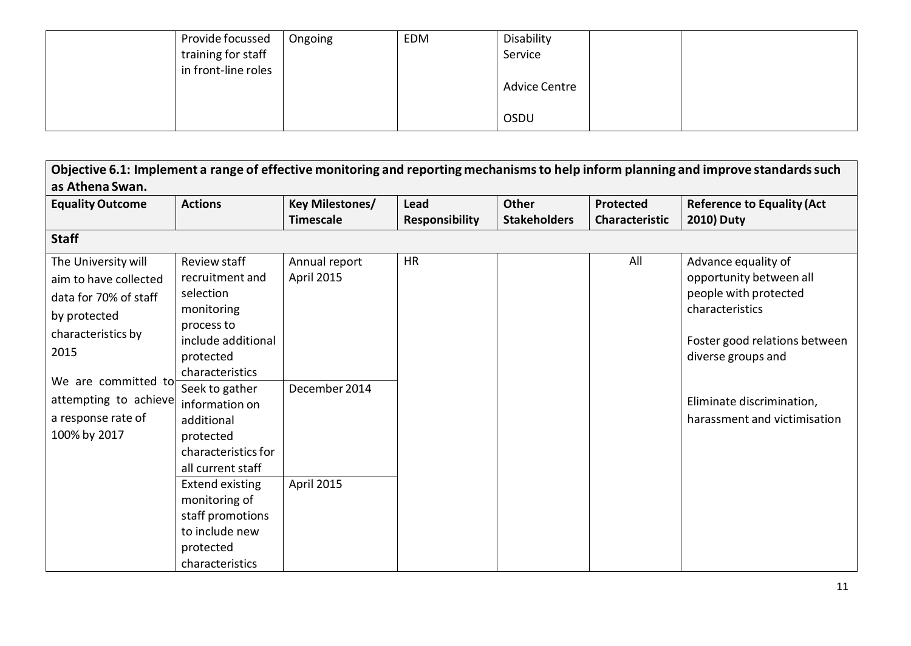| Provide focussed    | Ongoing | EDM | Disability           |  |
|---------------------|---------|-----|----------------------|--|
| training for staff  |         |     | Service              |  |
| in front-line roles |         |     |                      |  |
|                     |         |     | <b>Advice Centre</b> |  |
|                     |         |     |                      |  |
|                     |         |     | OSDU                 |  |

| Objective 6.1: Implement a range of effective monitoring and reporting mechanisms to help inform planning and improve standards such |                        |                        |                       |                     |                       |                                   |  |  |  |
|--------------------------------------------------------------------------------------------------------------------------------------|------------------------|------------------------|-----------------------|---------------------|-----------------------|-----------------------------------|--|--|--|
| as Athena Swan.                                                                                                                      |                        |                        |                       |                     |                       |                                   |  |  |  |
| <b>Equality Outcome</b>                                                                                                              | <b>Actions</b>         | <b>Key Milestones/</b> | Lead                  | <b>Other</b>        | <b>Protected</b>      | <b>Reference to Equality (Act</b> |  |  |  |
|                                                                                                                                      |                        | <b>Timescale</b>       | <b>Responsibility</b> | <b>Stakeholders</b> | <b>Characteristic</b> | <b>2010) Duty</b>                 |  |  |  |
| <b>Staff</b>                                                                                                                         |                        |                        |                       |                     |                       |                                   |  |  |  |
| The University will                                                                                                                  | Review staff           | Annual report          | <b>HR</b>             |                     | All                   | Advance equality of               |  |  |  |
| aim to have collected                                                                                                                | recruitment and        | April 2015             |                       |                     |                       | opportunity between all           |  |  |  |
| data for 70% of staff                                                                                                                | selection              |                        |                       |                     |                       | people with protected             |  |  |  |
| by protected                                                                                                                         | monitoring             |                        |                       |                     |                       | characteristics                   |  |  |  |
| characteristics by                                                                                                                   | process to             |                        |                       |                     |                       |                                   |  |  |  |
| 2015                                                                                                                                 | include additional     |                        |                       |                     |                       | Foster good relations between     |  |  |  |
|                                                                                                                                      | protected              |                        |                       |                     |                       | diverse groups and                |  |  |  |
| We are committed to                                                                                                                  | characteristics        |                        |                       |                     |                       |                                   |  |  |  |
|                                                                                                                                      | Seek to gather         | December 2014          |                       |                     |                       |                                   |  |  |  |
| attempting to achieve                                                                                                                | information on         |                        |                       |                     |                       | Eliminate discrimination,         |  |  |  |
| a response rate of                                                                                                                   | additional             |                        |                       |                     |                       | harassment and victimisation      |  |  |  |
| 100% by 2017                                                                                                                         | protected              |                        |                       |                     |                       |                                   |  |  |  |
|                                                                                                                                      | characteristics for    |                        |                       |                     |                       |                                   |  |  |  |
|                                                                                                                                      | all current staff      |                        |                       |                     |                       |                                   |  |  |  |
|                                                                                                                                      | <b>Extend existing</b> | April 2015             |                       |                     |                       |                                   |  |  |  |
|                                                                                                                                      | monitoring of          |                        |                       |                     |                       |                                   |  |  |  |
|                                                                                                                                      | staff promotions       |                        |                       |                     |                       |                                   |  |  |  |
|                                                                                                                                      | to include new         |                        |                       |                     |                       |                                   |  |  |  |
|                                                                                                                                      | protected              |                        |                       |                     |                       |                                   |  |  |  |
|                                                                                                                                      | characteristics        |                        |                       |                     |                       |                                   |  |  |  |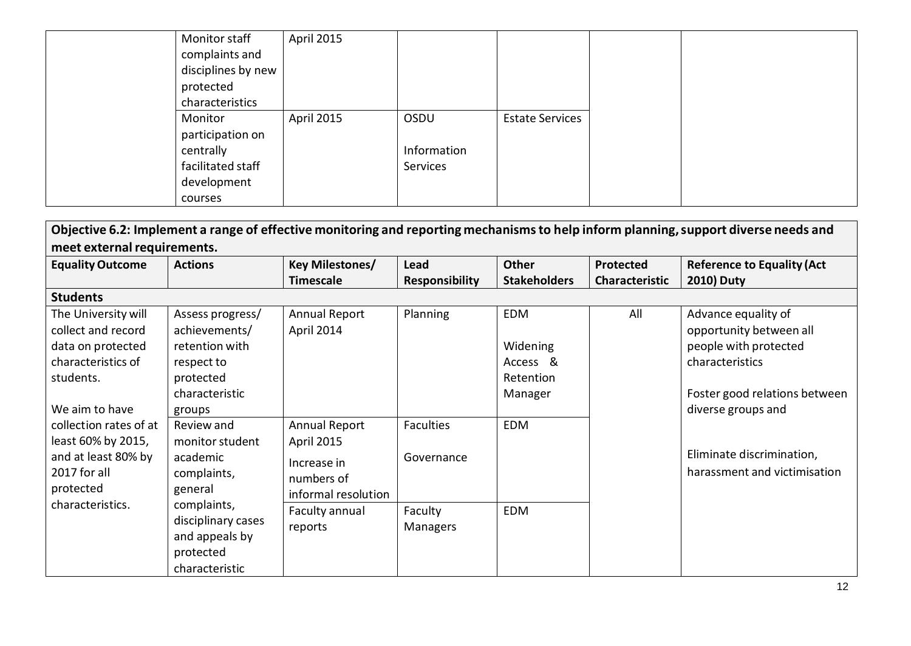| Monitor staff      | April 2015 |             |                        |
|--------------------|------------|-------------|------------------------|
| complaints and     |            |             |                        |
| disciplines by new |            |             |                        |
| protected          |            |             |                        |
| characteristics    |            |             |                        |
| Monitor            | April 2015 | OSDU        | <b>Estate Services</b> |
| participation on   |            |             |                        |
| centrally          |            | Information |                        |
| facilitated staff  |            | Services    |                        |
| development        |            |             |                        |
| courses            |            |             |                        |

| Objective 6.2: Implement a range of effective monitoring and reporting mechanisms to help inform planning, support diverse needs and |                    |                        |                       |                     |                  |                                   |  |  |
|--------------------------------------------------------------------------------------------------------------------------------------|--------------------|------------------------|-----------------------|---------------------|------------------|-----------------------------------|--|--|
| meet external requirements.                                                                                                          |                    |                        |                       |                     |                  |                                   |  |  |
| <b>Equality Outcome</b>                                                                                                              | <b>Actions</b>     | <b>Key Milestones/</b> | Lead                  | <b>Other</b>        | <b>Protected</b> | <b>Reference to Equality (Act</b> |  |  |
|                                                                                                                                      |                    | <b>Timescale</b>       | <b>Responsibility</b> | <b>Stakeholders</b> | Characteristic   | <b>2010) Duty</b>                 |  |  |
| <b>Students</b>                                                                                                                      |                    |                        |                       |                     |                  |                                   |  |  |
| The University will                                                                                                                  | Assess progress/   | Annual Report          | Planning              | EDM                 | All              | Advance equality of               |  |  |
| collect and record                                                                                                                   | achievements/      | April 2014             |                       |                     |                  | opportunity between all           |  |  |
| data on protected                                                                                                                    | retention with     |                        |                       | Widening            |                  | people with protected             |  |  |
| characteristics of                                                                                                                   | respect to         |                        |                       | Access &            |                  | characteristics                   |  |  |
| students.                                                                                                                            | protected          |                        |                       | Retention           |                  |                                   |  |  |
|                                                                                                                                      | characteristic     |                        |                       | Manager             |                  | Foster good relations between     |  |  |
| We aim to have                                                                                                                       | groups             |                        |                       |                     |                  | diverse groups and                |  |  |
| collection rates of at                                                                                                               | Review and         | <b>Annual Report</b>   | <b>Faculties</b>      | <b>EDM</b>          |                  |                                   |  |  |
| least 60% by 2015,                                                                                                                   | monitor student    | April 2015             |                       |                     |                  |                                   |  |  |
| and at least 80% by                                                                                                                  | academic           | Increase in            | Governance            |                     |                  | Eliminate discrimination,         |  |  |
| 2017 for all                                                                                                                         | complaints,        | numbers of             |                       |                     |                  | harassment and victimisation      |  |  |
| protected                                                                                                                            | general            | informal resolution    |                       |                     |                  |                                   |  |  |
| characteristics.                                                                                                                     | complaints,        | Faculty annual         | Faculty               | <b>EDM</b>          |                  |                                   |  |  |
|                                                                                                                                      | disciplinary cases | reports                | <b>Managers</b>       |                     |                  |                                   |  |  |
|                                                                                                                                      | and appeals by     |                        |                       |                     |                  |                                   |  |  |
|                                                                                                                                      | protected          |                        |                       |                     |                  |                                   |  |  |
|                                                                                                                                      | characteristic     |                        |                       |                     |                  |                                   |  |  |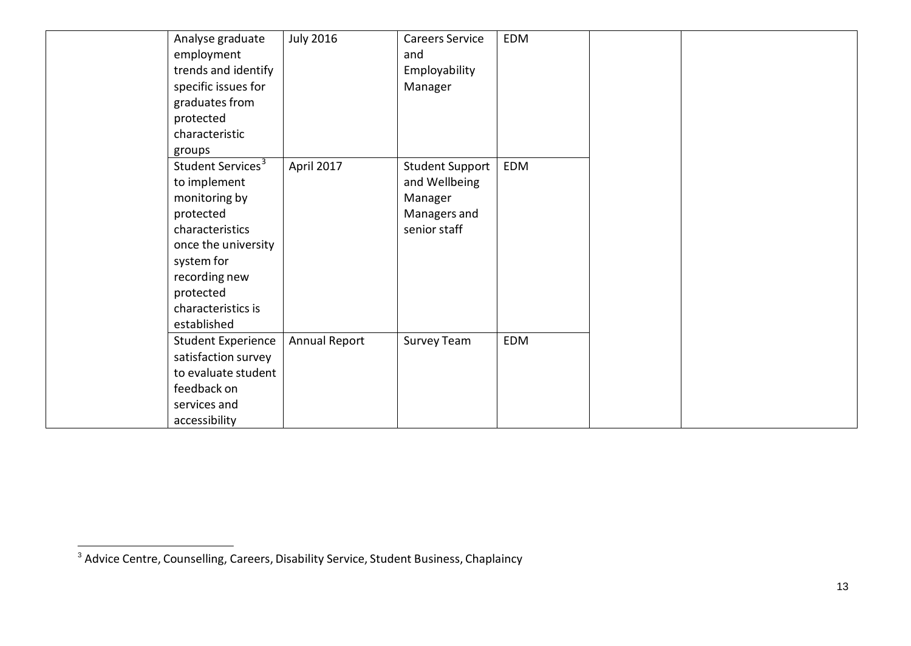| Analyse graduate              | <b>July 2016</b>     | <b>Careers Service</b> | <b>EDM</b> |  |  |
|-------------------------------|----------------------|------------------------|------------|--|--|
| employment                    |                      | and                    |            |  |  |
| trends and identify           |                      | Employability          |            |  |  |
| specific issues for           |                      | Manager                |            |  |  |
| graduates from                |                      |                        |            |  |  |
| protected                     |                      |                        |            |  |  |
| characteristic                |                      |                        |            |  |  |
| groups                        |                      |                        |            |  |  |
| Student Services <sup>3</sup> | April 2017           | <b>Student Support</b> | EDM        |  |  |
| to implement                  |                      | and Wellbeing          |            |  |  |
| monitoring by                 |                      | Manager                |            |  |  |
| protected                     |                      | Managers and           |            |  |  |
| characteristics               |                      | senior staff           |            |  |  |
| once the university           |                      |                        |            |  |  |
| system for                    |                      |                        |            |  |  |
| recording new                 |                      |                        |            |  |  |
| protected                     |                      |                        |            |  |  |
| characteristics is            |                      |                        |            |  |  |
| established                   |                      |                        |            |  |  |
| <b>Student Experience</b>     | <b>Annual Report</b> | Survey Team            | <b>EDM</b> |  |  |
| satisfaction survey           |                      |                        |            |  |  |
| to evaluate student           |                      |                        |            |  |  |
| feedback on                   |                      |                        |            |  |  |
| services and                  |                      |                        |            |  |  |
| accessibility                 |                      |                        |            |  |  |

<sup>&</sup>lt;sup>3</sup> Advice Centre, Counselling, Careers, Disability Service, Student Business, Chaplaincy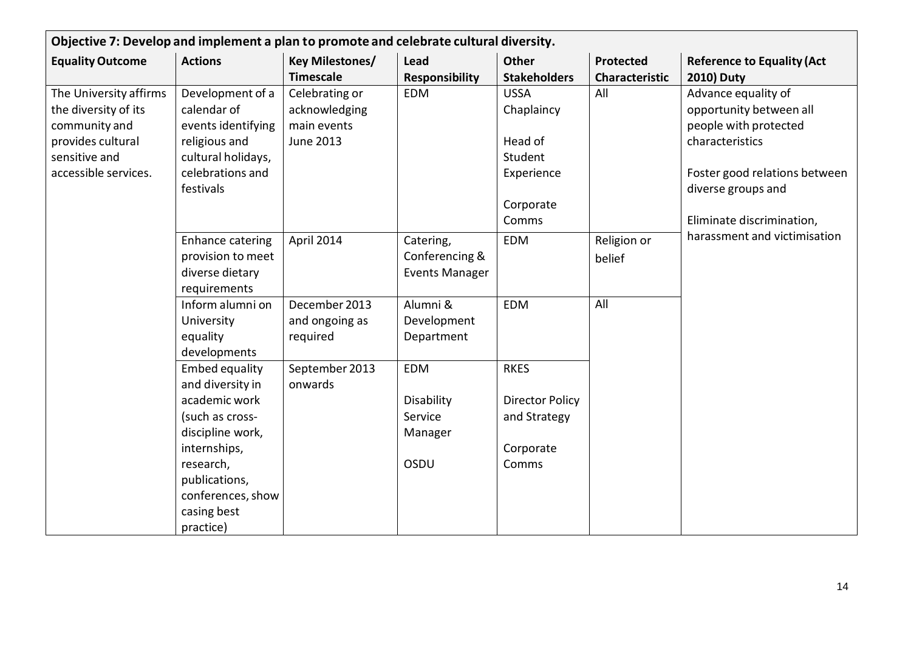| Objective 7: Develop and implement a plan to promote and celebrate cultural diversity.                                        |                                                                                                                                                                                                  |                                                                    |                                                        |                                                                                     |                                    |                                                                                                                                                                                |
|-------------------------------------------------------------------------------------------------------------------------------|--------------------------------------------------------------------------------------------------------------------------------------------------------------------------------------------------|--------------------------------------------------------------------|--------------------------------------------------------|-------------------------------------------------------------------------------------|------------------------------------|--------------------------------------------------------------------------------------------------------------------------------------------------------------------------------|
| <b>Equality Outcome</b>                                                                                                       | <b>Actions</b>                                                                                                                                                                                   | <b>Key Milestones/</b><br><b>Timescale</b>                         | Lead<br><b>Responsibility</b>                          | <b>Other</b><br><b>Stakeholders</b>                                                 | Protected<br><b>Characteristic</b> | <b>Reference to Equality (Act</b><br><b>2010) Duty</b>                                                                                                                         |
| The University affirms<br>the diversity of its<br>community and<br>provides cultural<br>sensitive and<br>accessible services. | Development of a<br>calendar of<br>events identifying<br>religious and<br>cultural holidays,<br>celebrations and<br>festivals                                                                    | Celebrating or<br>acknowledging<br>main events<br><b>June 2013</b> | <b>EDM</b>                                             | <b>USSA</b><br>Chaplaincy<br>Head of<br>Student<br>Experience<br>Corporate<br>Comms | All                                | Advance equality of<br>opportunity between all<br>people with protected<br>characteristics<br>Foster good relations between<br>diverse groups and<br>Eliminate discrimination, |
|                                                                                                                               | Enhance catering<br>provision to meet<br>diverse dietary<br>requirements                                                                                                                         | April 2014                                                         | Catering,<br>Conferencing &<br><b>Events Manager</b>   | <b>EDM</b>                                                                          | Religion or<br>belief              | harassment and victimisation                                                                                                                                                   |
|                                                                                                                               | Inform alumni on<br>University<br>equality<br>developments                                                                                                                                       | December 2013<br>and ongoing as<br>required                        | Alumni &<br>Development<br>Department                  | <b>EDM</b>                                                                          | All                                |                                                                                                                                                                                |
|                                                                                                                               | <b>Embed equality</b><br>and diversity in<br>academic work<br>(such as cross-<br>discipline work,<br>internships,<br>research,<br>publications,<br>conferences, show<br>casing best<br>practice) | September 2013<br>onwards                                          | <b>EDM</b><br>Disability<br>Service<br>Manager<br>OSDU | <b>RKES</b><br><b>Director Policy</b><br>and Strategy<br>Corporate<br>Comms         |                                    |                                                                                                                                                                                |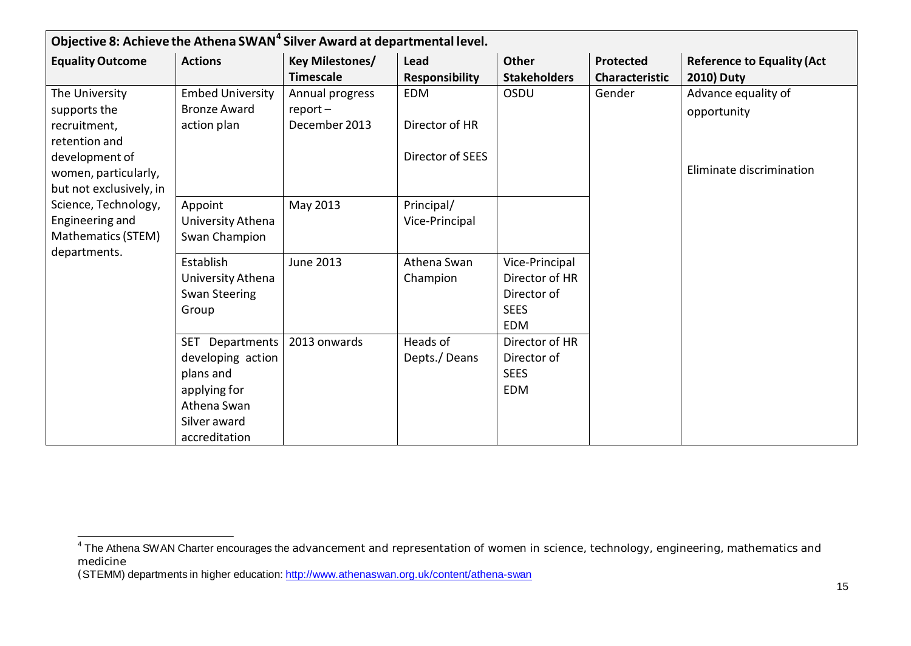| Objective 8: Achieve the Athena SWAN <sup>4</sup> Silver Award at departmental level. |                           |                        |                       |                     |                       |                                   |
|---------------------------------------------------------------------------------------|---------------------------|------------------------|-----------------------|---------------------|-----------------------|-----------------------------------|
| <b>Equality Outcome</b>                                                               | <b>Actions</b>            | <b>Key Milestones/</b> | Lead                  | <b>Other</b>        | Protected             | <b>Reference to Equality (Act</b> |
|                                                                                       |                           | <b>Timescale</b>       | <b>Responsibility</b> | <b>Stakeholders</b> | <b>Characteristic</b> | <b>2010) Duty</b>                 |
| The University                                                                        | <b>Embed University</b>   | Annual progress        | <b>EDM</b>            | OSDU                | Gender                | Advance equality of               |
| supports the                                                                          | <b>Bronze Award</b>       | $report-$              |                       |                     |                       | opportunity                       |
| recruitment,                                                                          | action plan               | December 2013          | Director of HR        |                     |                       |                                   |
| retention and                                                                         |                           |                        |                       |                     |                       |                                   |
| development of                                                                        |                           |                        | Director of SEES      |                     |                       |                                   |
| women, particularly,                                                                  |                           |                        |                       |                     |                       | Eliminate discrimination          |
| but not exclusively, in                                                               |                           |                        |                       |                     |                       |                                   |
| Science, Technology,                                                                  | Appoint                   | May 2013               | Principal/            |                     |                       |                                   |
| Engineering and                                                                       | University Athena         |                        | Vice-Principal        |                     |                       |                                   |
| Mathematics (STEM)                                                                    | Swan Champion             |                        |                       |                     |                       |                                   |
| departments.                                                                          | Establish                 | <b>June 2013</b>       | Athena Swan           | Vice-Principal      |                       |                                   |
|                                                                                       | University Athena         |                        | Champion              | Director of HR      |                       |                                   |
|                                                                                       | <b>Swan Steering</b>      |                        |                       | Director of         |                       |                                   |
|                                                                                       | Group                     |                        |                       | <b>SEES</b>         |                       |                                   |
|                                                                                       |                           |                        |                       | <b>EDM</b>          |                       |                                   |
|                                                                                       | Departments<br><b>SET</b> | 2013 onwards           | Heads of              | Director of HR      |                       |                                   |
|                                                                                       | developing action         |                        | Depts./Deans          | Director of         |                       |                                   |
|                                                                                       | plans and                 |                        |                       | <b>SEES</b>         |                       |                                   |
|                                                                                       | applying for              |                        |                       | <b>EDM</b>          |                       |                                   |
|                                                                                       | Athena Swan               |                        |                       |                     |                       |                                   |
|                                                                                       | Silver award              |                        |                       |                     |                       |                                   |
|                                                                                       | accreditation             |                        |                       |                     |                       |                                   |

<sup>&</sup>lt;sup>4</sup> The Athena SWAN Charter encourages the advancement and representation of women in science, technology, engineering, mathematics and medicine

<sup>(</sup>STEMM) departments in higher education: <http://www.athenaswan.org.uk/content/athena-swan>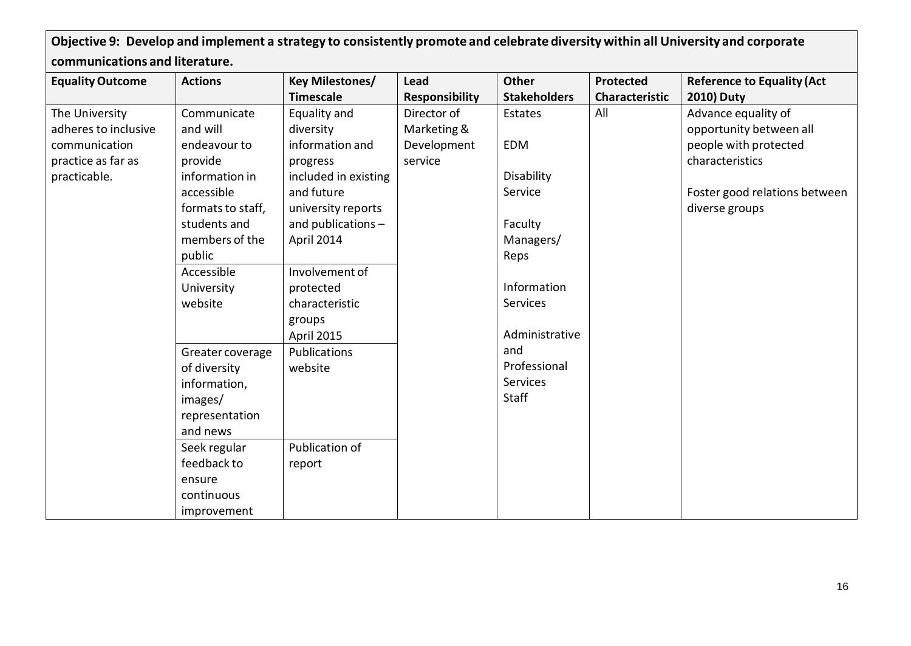Objective 9: Develop and implement a strategy to consistently promote and celebrate diversity within all University and corporate **communications and literature.**

| <b>Equality Outcome</b> | <b>Actions</b>    | <b>Key Milestones/</b> | Lead                  | Other               | Protected             | <b>Reference to Equality (Act</b> |
|-------------------------|-------------------|------------------------|-----------------------|---------------------|-----------------------|-----------------------------------|
|                         |                   | <b>Timescale</b>       | <b>Responsibility</b> | <b>Stakeholders</b> | <b>Characteristic</b> | <b>2010) Duty</b>                 |
| The University          | Communicate       | Equality and           | Director of           | Estates             | All                   | Advance equality of               |
| adheres to inclusive    | and will          | diversity              | Marketing &           |                     |                       | opportunity between all           |
| communication           | endeavour to      | information and        | Development           | <b>EDM</b>          |                       | people with protected             |
| practice as far as      | provide           | progress               | service               |                     |                       | characteristics                   |
| practicable.            | information in    | included in existing   |                       | Disability          |                       |                                   |
|                         | accessible        | and future             |                       | Service             |                       | Foster good relations between     |
|                         | formats to staff, | university reports     |                       |                     |                       | diverse groups                    |
|                         | students and      | and publications -     |                       | Faculty             |                       |                                   |
|                         | members of the    | April 2014             |                       | Managers/           |                       |                                   |
|                         | public            |                        |                       | Reps                |                       |                                   |
|                         | Accessible        | Involvement of         |                       |                     |                       |                                   |
|                         | University        | protected              |                       | Information         |                       |                                   |
|                         | website           | characteristic         |                       | Services            |                       |                                   |
|                         |                   | groups                 |                       |                     |                       |                                   |
|                         |                   | April 2015             |                       | Administrative      |                       |                                   |
|                         | Greater coverage  | Publications           |                       | and                 |                       |                                   |
|                         | of diversity      | website                |                       | Professional        |                       |                                   |
|                         | information,      |                        |                       | Services            |                       |                                   |
|                         | images/           |                        |                       | Staff               |                       |                                   |
|                         | representation    |                        |                       |                     |                       |                                   |
|                         | and news          |                        |                       |                     |                       |                                   |
|                         | Seek regular      | Publication of         |                       |                     |                       |                                   |
|                         | feedback to       | report                 |                       |                     |                       |                                   |
|                         | ensure            |                        |                       |                     |                       |                                   |
|                         | continuous        |                        |                       |                     |                       |                                   |
|                         | improvement       |                        |                       |                     |                       |                                   |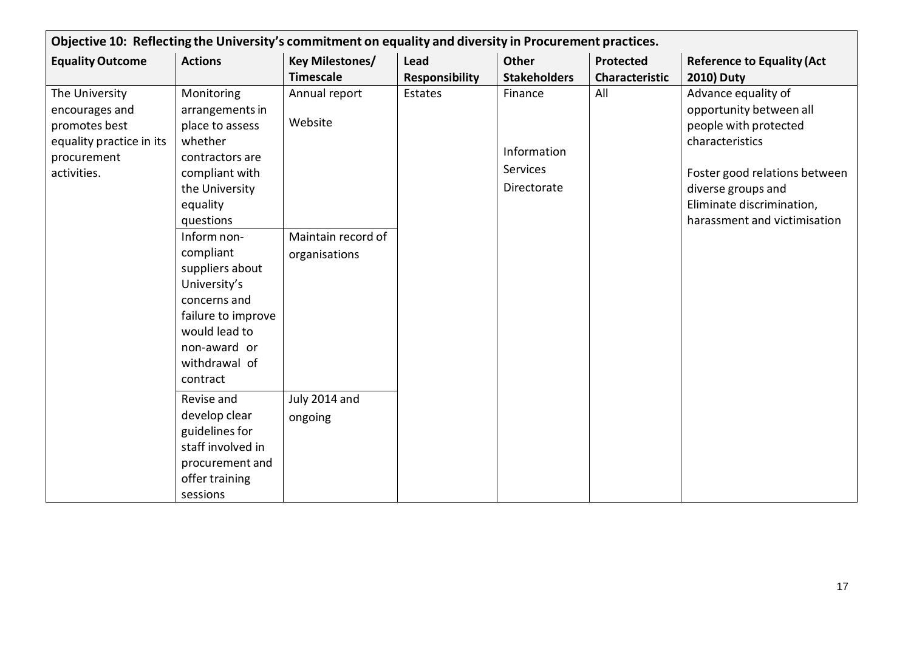| Objective 10: Reflecting the University's commitment on equality and diversity in Procurement practices.    |                                                                                                                                                                                                                                                                                                                                                                                                                                       |                                                                                             |                       |                                                   |                |                                                                                                                                                                                                                |
|-------------------------------------------------------------------------------------------------------------|---------------------------------------------------------------------------------------------------------------------------------------------------------------------------------------------------------------------------------------------------------------------------------------------------------------------------------------------------------------------------------------------------------------------------------------|---------------------------------------------------------------------------------------------|-----------------------|---------------------------------------------------|----------------|----------------------------------------------------------------------------------------------------------------------------------------------------------------------------------------------------------------|
| <b>Equality Outcome</b>                                                                                     | <b>Actions</b>                                                                                                                                                                                                                                                                                                                                                                                                                        | Key Milestones/                                                                             | Lead                  | Other                                             | Protected      | <b>Reference to Equality (Act</b>                                                                                                                                                                              |
|                                                                                                             |                                                                                                                                                                                                                                                                                                                                                                                                                                       | <b>Timescale</b>                                                                            | <b>Responsibility</b> | <b>Stakeholders</b>                               | Characteristic | <b>2010) Duty</b>                                                                                                                                                                                              |
| The University<br>encourages and<br>promotes best<br>equality practice in its<br>procurement<br>activities. | Monitoring<br>arrangements in<br>place to assess<br>whether<br>contractors are<br>compliant with<br>the University<br>equality<br>questions<br>Inform non-<br>compliant<br>suppliers about<br>University's<br>concerns and<br>failure to improve<br>would lead to<br>non-award or<br>withdrawal of<br>contract<br>Revise and<br>develop clear<br>guidelines for<br>staff involved in<br>procurement and<br>offer training<br>sessions | Annual report<br>Website<br>Maintain record of<br>organisations<br>July 2014 and<br>ongoing | Estates               | Finance<br>Information<br>Services<br>Directorate | All            | Advance equality of<br>opportunity between all<br>people with protected<br>characteristics<br>Foster good relations between<br>diverse groups and<br>Eliminate discrimination,<br>harassment and victimisation |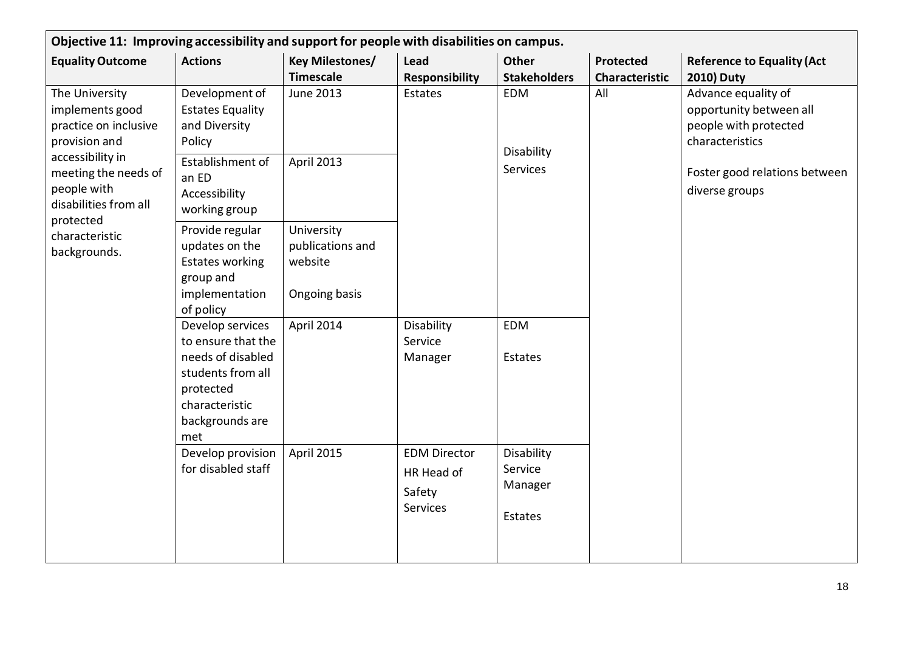| Objective 11: Improving accessibility and support for people with disabilities on campus.                                                                                                                      |                                                                                                                                           |                                                            |                                                         |                                             |                                           |                                                                                                                                               |
|----------------------------------------------------------------------------------------------------------------------------------------------------------------------------------------------------------------|-------------------------------------------------------------------------------------------------------------------------------------------|------------------------------------------------------------|---------------------------------------------------------|---------------------------------------------|-------------------------------------------|-----------------------------------------------------------------------------------------------------------------------------------------------|
| <b>Equality Outcome</b>                                                                                                                                                                                        | <b>Actions</b>                                                                                                                            | <b>Key Milestones/</b><br><b>Timescale</b>                 | Lead<br><b>Responsibility</b>                           | <b>Other</b><br><b>Stakeholders</b>         | <b>Protected</b><br><b>Characteristic</b> | <b>Reference to Equality (Act</b><br><b>2010) Duty</b>                                                                                        |
| The University<br>implements good<br>practice on inclusive<br>provision and<br>accessibility in<br>meeting the needs of<br>people with<br>disabilities from all<br>protected<br>characteristic<br>backgrounds. | Development of<br><b>Estates Equality</b><br>and Diversity<br>Policy                                                                      | <b>June 2013</b>                                           | Estates<br>Disability<br>Service<br>Manager             | <b>EDM</b><br>Disability<br><b>Services</b> | All                                       | Advance equality of<br>opportunity between all<br>people with protected<br>characteristics<br>Foster good relations between<br>diverse groups |
|                                                                                                                                                                                                                | Establishment of<br>an ED<br>Accessibility<br>working group                                                                               | April 2013                                                 |                                                         |                                             |                                           |                                                                                                                                               |
|                                                                                                                                                                                                                | Provide regular<br>updates on the<br><b>Estates working</b><br>group and<br>implementation<br>of policy                                   | University<br>publications and<br>website<br>Ongoing basis |                                                         |                                             |                                           |                                                                                                                                               |
|                                                                                                                                                                                                                | Develop services<br>to ensure that the<br>needs of disabled<br>students from all<br>protected<br>characteristic<br>backgrounds are<br>met | April 2014                                                 |                                                         | <b>EDM</b><br>Estates                       |                                           |                                                                                                                                               |
|                                                                                                                                                                                                                | Develop provision<br>for disabled staff                                                                                                   | April 2015                                                 | <b>EDM Director</b><br>HR Head of<br>Safety<br>Services | Disability<br>Service<br>Manager<br>Estates |                                           |                                                                                                                                               |